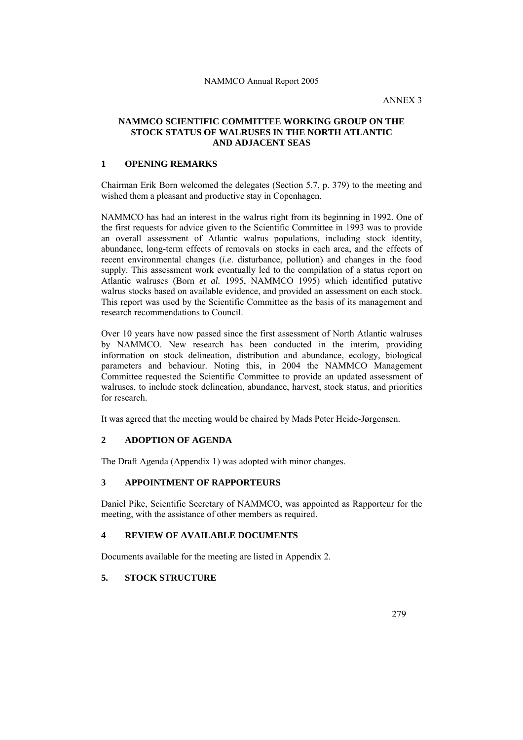ANNEX 3

# **NAMMCO SCIENTIFIC COMMITTEE WORKING GROUP ON THE STOCK STATUS OF WALRUSES IN THE NORTH ATLANTIC AND ADJACENT SEAS**

# **1 OPENING REMARKS**

Chairman Erik Born welcomed the delegates (Section 5.7, p. 379) to the meeting and wished them a pleasant and productive stay in Copenhagen.

NAMMCO has had an interest in the walrus right from its beginning in 1992. One of the first requests for advice given to the Scientific Committee in 1993 was to provide an overall assessment of Atlantic walrus populations, including stock identity, abundance, long-term effects of removals on stocks in each area, and the effects of recent environmental changes (*i.e*. disturbance, pollution) and changes in the food supply. This assessment work eventually led to the compilation of a status report on Atlantic walruses (Born *et al.* 1995, NAMMCO 1995) which identified putative walrus stocks based on available evidence, and provided an assessment on each stock. This report was used by the Scientific Committee as the basis of its management and research recommendations to Council.

Over 10 years have now passed since the first assessment of North Atlantic walruses by NAMMCO. New research has been conducted in the interim, providing information on stock delineation, distribution and abundance, ecology, biological parameters and behaviour. Noting this, in 2004 the NAMMCO Management Committee requested the Scientific Committee to provide an updated assessment of walruses, to include stock delineation, abundance, harvest, stock status, and priorities for research.

It was agreed that the meeting would be chaired by Mads Peter Heide-Jørgensen.

# **2 ADOPTION OF AGENDA**

The Draft Agenda (Appendix 1) was adopted with minor changes.

# **3 APPOINTMENT OF RAPPORTEURS**

Daniel Pike, Scientific Secretary of NAMMCO, was appointed as Rapporteur for the meeting, with the assistance of other members as required.

# **4 REVIEW OF AVAILABLE DOCUMENTS**

Documents available for the meeting are listed in Appendix 2.

# **5. STOCK STRUCTURE**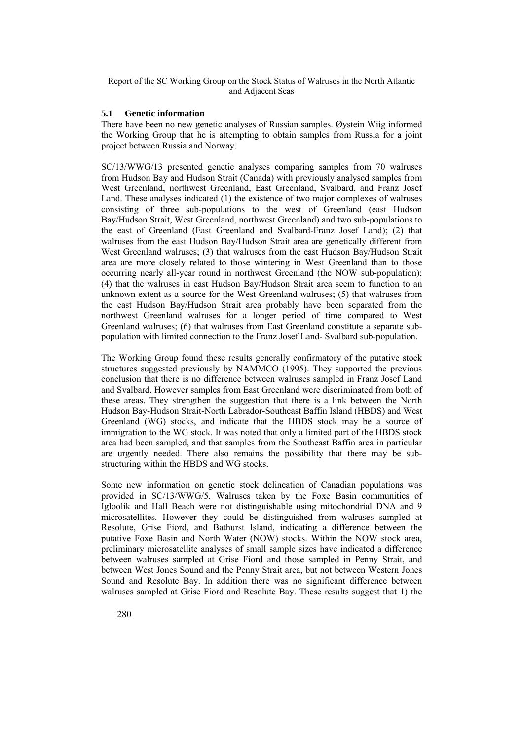### **5.1 Genetic information**

There have been no new genetic analyses of Russian samples. Øystein Wiig informed the Working Group that he is attempting to obtain samples from Russia for a joint project between Russia and Norway.

SC/13/WWG/13 presented genetic analyses comparing samples from 70 walruses from Hudson Bay and Hudson Strait (Canada) with previously analysed samples from West Greenland, northwest Greenland, East Greenland, Svalbard, and Franz Josef Land. These analyses indicated (1) the existence of two major complexes of walruses consisting of three sub-populations to the west of Greenland (east Hudson Bay/Hudson Strait, West Greenland, northwest Greenland) and two sub-populations to the east of Greenland (East Greenland and Svalbard-Franz Josef Land); (2) that walruses from the east Hudson Bay/Hudson Strait area are genetically different from West Greenland walruses; (3) that walruses from the east Hudson Bay/Hudson Strait area are more closely related to those wintering in West Greenland than to those occurring nearly all-year round in northwest Greenland (the NOW sub-population); (4) that the walruses in east Hudson Bay/Hudson Strait area seem to function to an unknown extent as a source for the West Greenland walruses; (5) that walruses from the east Hudson Bay/Hudson Strait area probably have been separated from the northwest Greenland walruses for a longer period of time compared to West Greenland walruses; (6) that walruses from East Greenland constitute a separate subpopulation with limited connection to the Franz Josef Land- Svalbard sub-population.

The Working Group found these results generally confirmatory of the putative stock structures suggested previously by NAMMCO (1995). They supported the previous conclusion that there is no difference between walruses sampled in Franz Josef Land and Svalbard. However samples from East Greenland were discriminated from both of these areas. They strengthen the suggestion that there is a link between the North Hudson Bay-Hudson Strait-North Labrador-Southeast Baffin Island (HBDS) and West Greenland (WG) stocks, and indicate that the HBDS stock may be a source of immigration to the WG stock. It was noted that only a limited part of the HBDS stock area had been sampled, and that samples from the Southeast Baffin area in particular are urgently needed. There also remains the possibility that there may be substructuring within the HBDS and WG stocks.

Some new information on genetic stock delineation of Canadian populations was provided in SC/13/WWG/5. Walruses taken by the Foxe Basin communities of Igloolik and Hall Beach were not distinguishable using mitochondrial DNA and 9 microsatellites. However they could be distinguished from walruses sampled at Resolute, Grise Fiord, and Bathurst Island, indicating a difference between the putative Foxe Basin and North Water (NOW) stocks. Within the NOW stock area, preliminary microsatellite analyses of small sample sizes have indicated a difference between walruses sampled at Grise Fiord and those sampled in Penny Strait, and between West Jones Sound and the Penny Strait area, but not between Western Jones Sound and Resolute Bay. In addition there was no significant difference between walruses sampled at Grise Fiord and Resolute Bay. These results suggest that 1) the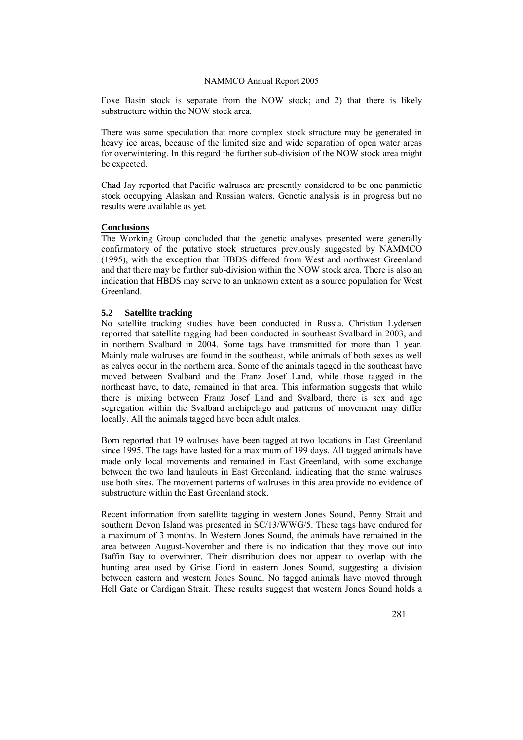Foxe Basin stock is separate from the NOW stock; and 2) that there is likely substructure within the NOW stock area.

There was some speculation that more complex stock structure may be generated in heavy ice areas, because of the limited size and wide separation of open water areas for overwintering. In this regard the further sub-division of the NOW stock area might be expected.

Chad Jay reported that Pacific walruses are presently considered to be one panmictic stock occupying Alaskan and Russian waters. Genetic analysis is in progress but no results were available as yet.

### **Conclusions**

The Working Group concluded that the genetic analyses presented were generally confirmatory of the putative stock structures previously suggested by NAMMCO (1995), with the exception that HBDS differed from West and northwest Greenland and that there may be further sub-division within the NOW stock area. There is also an indication that HBDS may serve to an unknown extent as a source population for West Greenland.

### **5.2 Satellite tracking**

No satellite tracking studies have been conducted in Russia. Christian Lydersen reported that satellite tagging had been conducted in southeast Svalbard in 2003, and in northern Svalbard in 2004. Some tags have transmitted for more than 1 year. Mainly male walruses are found in the southeast, while animals of both sexes as well as calves occur in the northern area. Some of the animals tagged in the southeast have moved between Svalbard and the Franz Josef Land, while those tagged in the northeast have, to date, remained in that area. This information suggests that while there is mixing between Franz Josef Land and Svalbard, there is sex and age segregation within the Svalbard archipelago and patterns of movement may differ locally. All the animals tagged have been adult males.

Born reported that 19 walruses have been tagged at two locations in East Greenland since 1995. The tags have lasted for a maximum of 199 days. All tagged animals have made only local movements and remained in East Greenland, with some exchange between the two land haulouts in East Greenland, indicating that the same walruses use both sites. The movement patterns of walruses in this area provide no evidence of substructure within the East Greenland stock.

Recent information from satellite tagging in western Jones Sound, Penny Strait and southern Devon Island was presented in SC/13/WWG/5. These tags have endured for a maximum of 3 months. In Western Jones Sound, the animals have remained in the area between August-November and there is no indication that they move out into Baffin Bay to overwinter. Their distribution does not appear to overlap with the hunting area used by Grise Fiord in eastern Jones Sound, suggesting a division between eastern and western Jones Sound. No tagged animals have moved through Hell Gate or Cardigan Strait. These results suggest that western Jones Sound holds a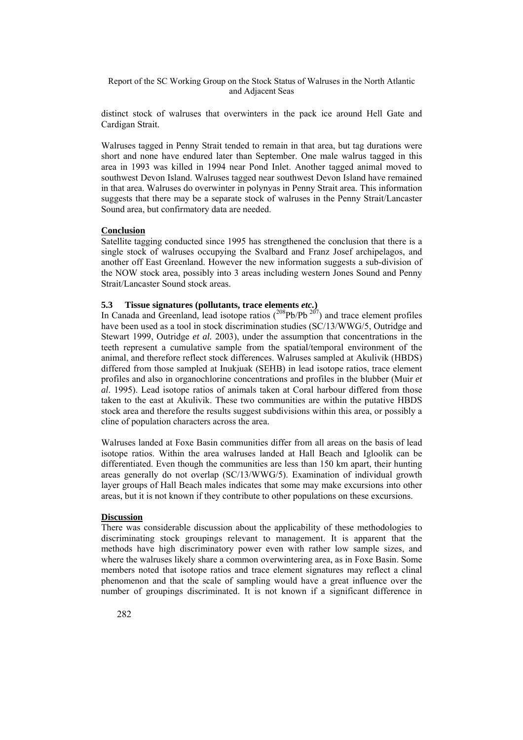distinct stock of walruses that overwinters in the pack ice around Hell Gate and Cardigan Strait.

Walruses tagged in Penny Strait tended to remain in that area, but tag durations were short and none have endured later than September. One male walrus tagged in this area in 1993 was killed in 1994 near Pond Inlet. Another tagged animal moved to southwest Devon Island. Walruses tagged near southwest Devon Island have remained in that area. Walruses do overwinter in polynyas in Penny Strait area. This information suggests that there may be a separate stock of walruses in the Penny Strait/Lancaster Sound area, but confirmatory data are needed.

### **Conclusion**

Satellite tagging conducted since 1995 has strengthened the conclusion that there is a single stock of walruses occupying the Svalbard and Franz Josef archipelagos, and another off East Greenland. However the new information suggests a sub-division of the NOW stock area, possibly into 3 areas including western Jones Sound and Penny Strait/Lancaster Sound stock areas.

## **5.3 Tissue signatures (pollutants, trace elements** *etc.***)**

In Canada and Greenland, lead isotope ratios  $(208 \text{Pb}/\text{Pb}^{207})$  and trace element profiles have been used as a tool in stock discrimination studies (SC/13/WWG/5, Outridge and Stewart 1999, Outridge *et al.* 2003), under the assumption that concentrations in the teeth represent a cumulative sample from the spatial/temporal environment of the animal, and therefore reflect stock differences. Walruses sampled at Akulivik (HBDS) differed from those sampled at Inukjuak (SEHB) in lead isotope ratios, trace element profiles and also in organochlorine concentrations and profiles in the blubber (Muir *et al*. 1995). Lead isotope ratios of animals taken at Coral harbour differed from those taken to the east at Akulivik. These two communities are within the putative HBDS stock area and therefore the results suggest subdivisions within this area, or possibly a cline of population characters across the area.

Walruses landed at Foxe Basin communities differ from all areas on the basis of lead isotope ratios. Within the area walruses landed at Hall Beach and Igloolik can be differentiated. Even though the communities are less than 150 km apart, their hunting areas generally do not overlap (SC/13/WWG/5). Examination of individual growth layer groups of Hall Beach males indicates that some may make excursions into other areas, but it is not known if they contribute to other populations on these excursions.

#### **Discussion**

There was considerable discussion about the applicability of these methodologies to discriminating stock groupings relevant to management. It is apparent that the methods have high discriminatory power even with rather low sample sizes, and where the walruses likely share a common overwintering area, as in Foxe Basin. Some members noted that isotope ratios and trace element signatures may reflect a clinal phenomenon and that the scale of sampling would have a great influence over the number of groupings discriminated. It is not known if a significant difference in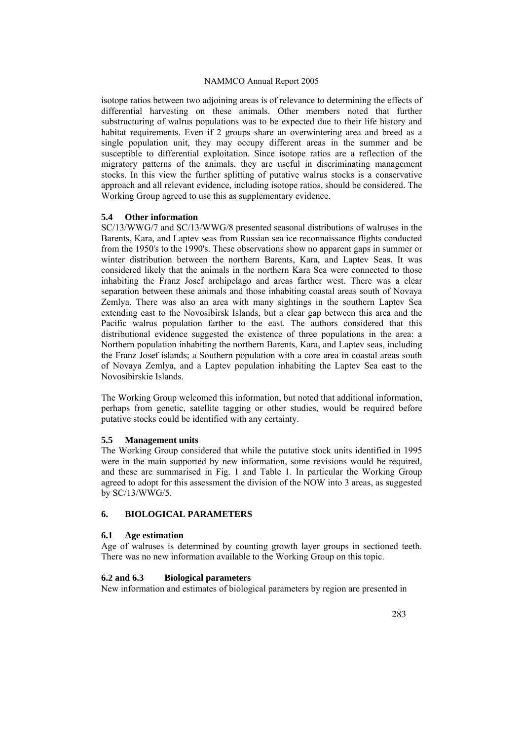isotope ratios between two adjoining areas is of relevance to determining the effects of differential harvesting on these animals. Other members noted that further substructuring of walrus populations was to be expected due to their life history and habitat requirements. Even if 2 groups share an overwintering area and breed as a single population unit, they may occupy different areas in the summer and be susceptible to differential exploitation. Since isotope ratios are a reflection of the migratory patterns of the animals, they are useful in discriminating management stocks. In this view the further splitting of putative walrus stocks is a conservative approach and all relevant evidence, including isotope ratios, should be considered. The Working Group agreed to use this as supplementary evidence.

### **5.4 Other information**

SC/13/WWG/7 and SC/13/WWG/8 presented seasonal distributions of walruses in the Barents, Kara, and Laptev seas from Russian sea ice reconnaissance flights conducted from the 1950's to the 1990's. These observations show no apparent gaps in summer or winter distribution between the northern Barents, Kara, and Laptev Seas. It was considered likely that the animals in the northern Kara Sea were connected to those inhabiting the Franz Josef archipelago and areas farther west. There was a clear separation between these animals and those inhabiting coastal areas south of Novaya Zemlya. There was also an area with many sightings in the southern Laptev Sea extending east to the Novosibirsk Islands, but a clear gap between this area and the Pacific walrus population farther to the east. The authors considered that this distributional evidence suggested the existence of three populations in the area: a Northern population inhabiting the northern Barents, Kara, and Laptev seas, including the Franz Josef islands; a Southern population with a core area in coastal areas south of Novaya Zemlya, and a Laptev population inhabiting the Laptev Sea east to the Novosibirskie Islands.

The Working Group welcomed this information, but noted that additional information, perhaps from genetic, satellite tagging or other studies, would be required before putative stocks could be identified with any certainty.

### **5.5 Management units**

The Working Group considered that while the putative stock units identified in 1995 were in the main supported by new information, some revisions would be required, and these are summarised in Fig. 1 and Table 1. In particular the Working Group agreed to adopt for this assessment the division of the NOW into 3 areas, as suggested by SC/13/WWG/5.

## **6. BIOLOGICAL PARAMETERS**

### **6.1 Age estimation**

Age of walruses is determined by counting growth layer groups in sectioned teeth. There was no new information available to the Working Group on this topic.

### **6.2 and 6.3 Biological parameters**

New information and estimates of biological parameters by region are presented in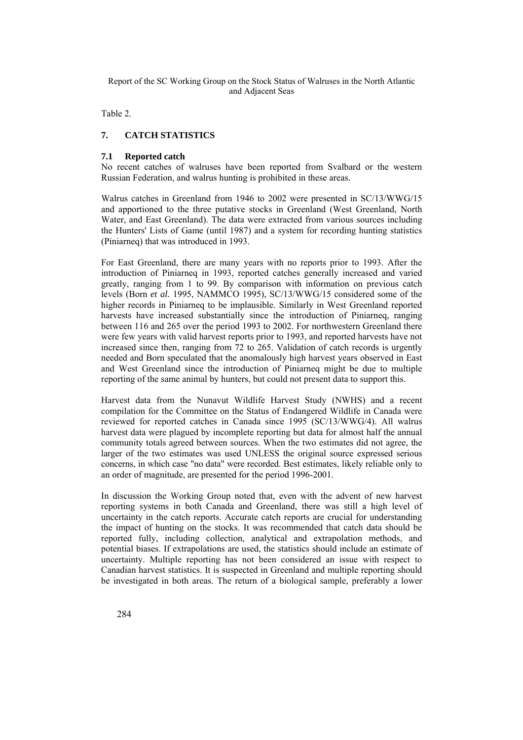Table 2.

# **7. CATCH STATISTICS**

## **7.1 Reported catch**

No recent catches of walruses have been reported from Svalbard or the western Russian Federation, and walrus hunting is prohibited in these areas.

Walrus catches in Greenland from 1946 to 2002 were presented in SC/13/WWG/15 and apportioned to the three putative stocks in Greenland (West Greenland, North Water, and East Greenland). The data were extracted from various sources including the Hunters' Lists of Game (until 1987) and a system for recording hunting statistics (Piniarneq) that was introduced in 1993.

For East Greenland, there are many years with no reports prior to 1993. After the introduction of Piniarneq in 1993, reported catches generally increased and varied greatly, ranging from 1 to 99. By comparison with information on previous catch levels (Born *et al.* 1995, NAMMCO 1995), SC/13/WWG/15 considered some of the higher records in Piniarneq to be implausible. Similarly in West Greenland reported harvests have increased substantially since the introduction of Piniarneq, ranging between 116 and 265 over the period 1993 to 2002. For northwestern Greenland there were few years with valid harvest reports prior to 1993, and reported harvests have not increased since then, ranging from 72 to 265. Validation of catch records is urgently needed and Born speculated that the anomalously high harvest years observed in East and West Greenland since the introduction of Piniarneq might be due to multiple reporting of the same animal by hunters, but could not present data to support this.

Harvest data from the Nunavut Wildlife Harvest Study (NWHS) and a recent compilation for the Committee on the Status of Endangered Wildlife in Canada were reviewed for reported catches in Canada since 1995 (SC/13/WWG/4). All walrus harvest data were plagued by incomplete reporting but data for almost half the annual community totals agreed between sources. When the two estimates did not agree, the larger of the two estimates was used UNLESS the original source expressed serious concerns, in which case "no data" were recorded. Best estimates, likely reliable only to an order of magnitude, are presented for the period 1996-2001.

In discussion the Working Group noted that, even with the advent of new harvest reporting systems in both Canada and Greenland, there was still a high level of uncertainty in the catch reports. Accurate catch reports are crucial for understanding the impact of hunting on the stocks. It was recommended that catch data should be reported fully, including collection, analytical and extrapolation methods, and potential biases. If extrapolations are used, the statistics should include an estimate of uncertainty. Multiple reporting has not been considered an issue with respect to Canadian harvest statistics. It is suspected in Greenland and multiple reporting should be investigated in both areas. The return of a biological sample, preferably a lower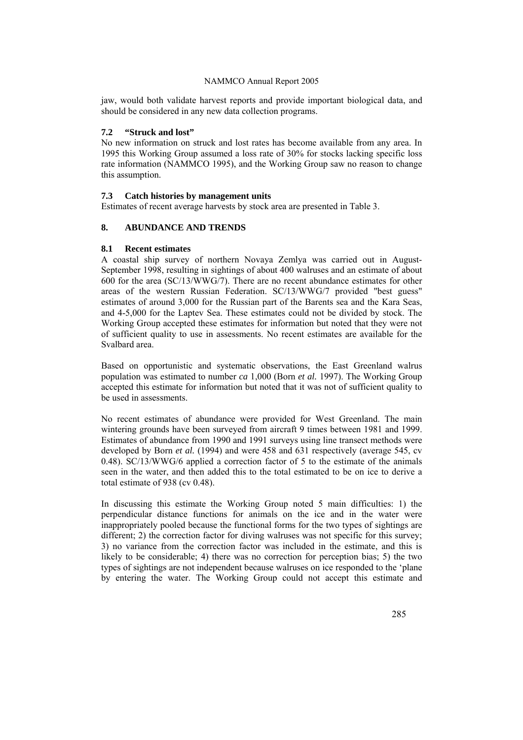jaw, would both validate harvest reports and provide important biological data, and should be considered in any new data collection programs.

# **7.2 "Struck and lost"**

No new information on struck and lost rates has become available from any area. In 1995 this Working Group assumed a loss rate of 30% for stocks lacking specific loss rate information (NAMMCO 1995), and the Working Group saw no reason to change this assumption.

### **7.3 Catch histories by management units**

Estimates of recent average harvests by stock area are presented in Table 3.

## **8. ABUNDANCE AND TRENDS**

### **8.1 Recent estimates**

A coastal ship survey of northern Novaya Zemlya was carried out in August-September 1998, resulting in sightings of about 400 walruses and an estimate of about 600 for the area (SC/13/WWG/7). There are no recent abundance estimates for other areas of the western Russian Federation. SC/13/WWG/7 provided "best guess" estimates of around 3,000 for the Russian part of the Barents sea and the Kara Seas, and 4-5,000 for the Laptev Sea. These estimates could not be divided by stock. The Working Group accepted these estimates for information but noted that they were not of sufficient quality to use in assessments. No recent estimates are available for the Svalbard area.

Based on opportunistic and systematic observations, the East Greenland walrus population was estimated to number *ca* 1,000 (Born *et al.* 1997). The Working Group accepted this estimate for information but noted that it was not of sufficient quality to be used in assessments.

No recent estimates of abundance were provided for West Greenland. The main wintering grounds have been surveyed from aircraft 9 times between 1981 and 1999. Estimates of abundance from 1990 and 1991 surveys using line transect methods were developed by Born *et al.* (1994) and were 458 and 631 respectively (average 545, cv 0.48). SC/13/WWG/6 applied a correction factor of 5 to the estimate of the animals seen in the water, and then added this to the total estimated to be on ice to derive a total estimate of 938 (cv 0.48).

In discussing this estimate the Working Group noted 5 main difficulties: 1) the perpendicular distance functions for animals on the ice and in the water were inappropriately pooled because the functional forms for the two types of sightings are different; 2) the correction factor for diving walruses was not specific for this survey; 3) no variance from the correction factor was included in the estimate, and this is likely to be considerable; 4) there was no correction for perception bias; 5) the two types of sightings are not independent because walruses on ice responded to the 'plane by entering the water. The Working Group could not accept this estimate and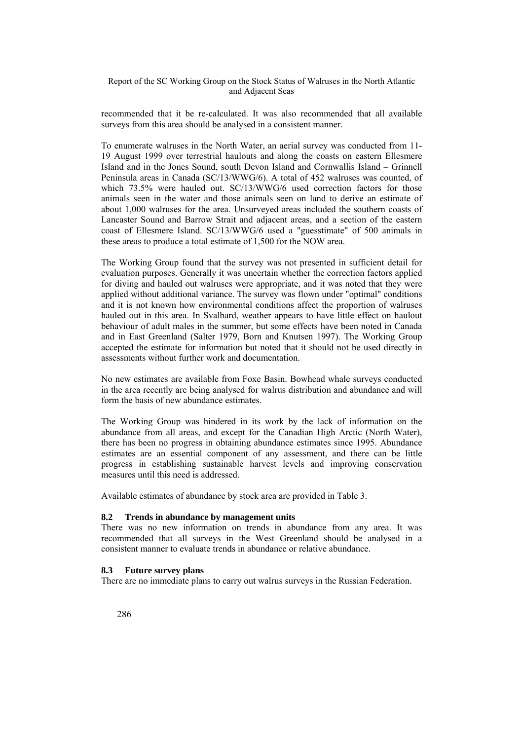recommended that it be re-calculated. It was also recommended that all available surveys from this area should be analysed in a consistent manner.

To enumerate walruses in the North Water, an aerial survey was conducted from 11- 19 August 1999 over terrestrial haulouts and along the coasts on eastern Ellesmere Island and in the Jones Sound, south Devon Island and Cornwallis Island – Grinnell Peninsula areas in Canada (SC/13/WWG/6). A total of 452 walruses was counted, of which 73.5% were hauled out. SC/13/WWG/6 used correction factors for those animals seen in the water and those animals seen on land to derive an estimate of about 1,000 walruses for the area. Unsurveyed areas included the southern coasts of Lancaster Sound and Barrow Strait and adjacent areas, and a section of the eastern coast of Ellesmere Island. SC/13/WWG/6 used a "guesstimate" of 500 animals in these areas to produce a total estimate of 1,500 for the NOW area.

The Working Group found that the survey was not presented in sufficient detail for evaluation purposes. Generally it was uncertain whether the correction factors applied for diving and hauled out walruses were appropriate, and it was noted that they were applied without additional variance. The survey was flown under "optimal" conditions and it is not known how environmental conditions affect the proportion of walruses hauled out in this area. In Svalbard, weather appears to have little effect on haulout behaviour of adult males in the summer, but some effects have been noted in Canada and in East Greenland (Salter 1979, Born and Knutsen 1997). The Working Group accepted the estimate for information but noted that it should not be used directly in assessments without further work and documentation.

No new estimates are available from Foxe Basin. Bowhead whale surveys conducted in the area recently are being analysed for walrus distribution and abundance and will form the basis of new abundance estimates.

The Working Group was hindered in its work by the lack of information on the abundance from all areas, and except for the Canadian High Arctic (North Water), there has been no progress in obtaining abundance estimates since 1995. Abundance estimates are an essential component of any assessment, and there can be little progress in establishing sustainable harvest levels and improving conservation measures until this need is addressed.

Available estimates of abundance by stock area are provided in Table 3.

### **8.2 Trends in abundance by management units**

There was no new information on trends in abundance from any area. It was recommended that all surveys in the West Greenland should be analysed in a consistent manner to evaluate trends in abundance or relative abundance.

### **8.3 Future survey plans**

There are no immediate plans to carry out walrus surveys in the Russian Federation.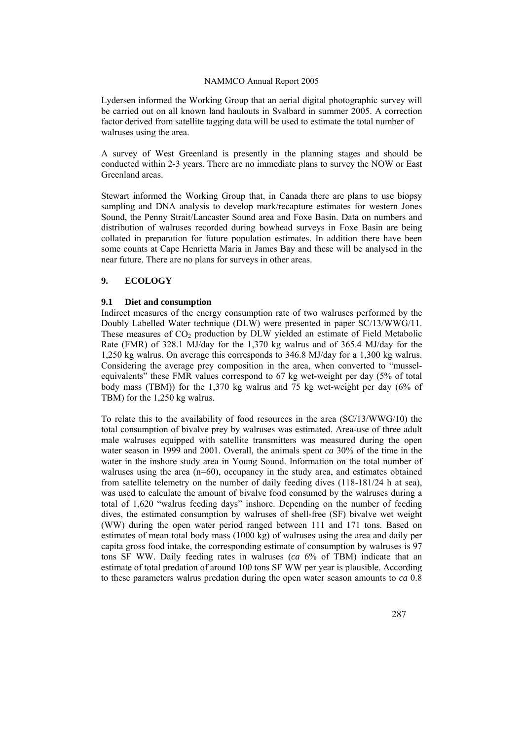Lydersen informed the Working Group that an aerial digital photographic survey will be carried out on all known land haulouts in Svalbard in summer 2005. A correction factor derived from satellite tagging data will be used to estimate the total number of walruses using the area.

A survey of West Greenland is presently in the planning stages and should be conducted within 2-3 years. There are no immediate plans to survey the NOW or East Greenland areas.

Stewart informed the Working Group that, in Canada there are plans to use biopsy sampling and DNA analysis to develop mark/recapture estimates for western Jones Sound, the Penny Strait/Lancaster Sound area and Foxe Basin. Data on numbers and distribution of walruses recorded during bowhead surveys in Foxe Basin are being collated in preparation for future population estimates. In addition there have been some counts at Cape Henrietta Maria in James Bay and these will be analysed in the near future. There are no plans for surveys in other areas.

### **9. ECOLOGY**

### **9.1 Diet and consumption**

Indirect measures of the energy consumption rate of two walruses performed by the Doubly Labelled Water technique (DLW) were presented in paper SC/13/WWG/11. These measures of  $CO<sub>2</sub>$  production by DLW yielded an estimate of Field Metabolic Rate (FMR) of 328.1 MJ/day for the 1,370 kg walrus and of 365.4 MJ/day for the 1,250 kg walrus. On average this corresponds to 346.8 MJ/day for a 1,300 kg walrus. Considering the average prey composition in the area, when converted to "musselequivalents" these FMR values correspond to 67 kg wet-weight per day (5% of total body mass (TBM)) for the 1,370 kg walrus and 75 kg wet-weight per day (6% of TBM) for the 1,250 kg walrus.

To relate this to the availability of food resources in the area (SC/13/WWG/10) the total consumption of bivalve prey by walruses was estimated. Area-use of three adult male walruses equipped with satellite transmitters was measured during the open water season in 1999 and 2001. Overall, the animals spent *ca* 30% of the time in the water in the inshore study area in Young Sound. Information on the total number of walruses using the area (n=60), occupancy in the study area, and estimates obtained from satellite telemetry on the number of daily feeding dives (118-181/24 h at sea), was used to calculate the amount of bivalve food consumed by the walruses during a total of 1,620 "walrus feeding days" inshore. Depending on the number of feeding dives, the estimated consumption by walruses of shell-free (SF) bivalve wet weight (WW) during the open water period ranged between 111 and 171 tons. Based on estimates of mean total body mass (1000 kg) of walruses using the area and daily per capita gross food intake, the corresponding estimate of consumption by walruses is 97 tons SF WW. Daily feeding rates in walruses (*ca* 6% of TBM) indicate that an estimate of total predation of around 100 tons SF WW per year is plausible. According to these parameters walrus predation during the open water season amounts to *ca* 0.8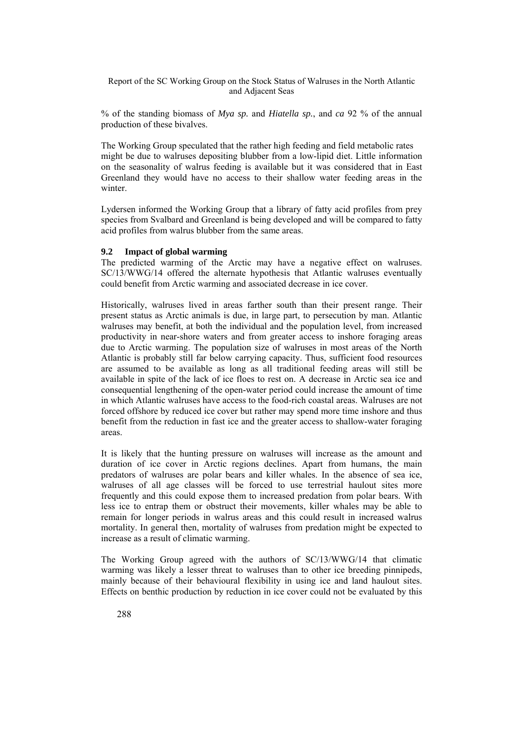% of the standing biomass of *Mya sp.* and *Hiatella sp.*, and *ca* 92 % of the annual production of these bivalves.

The Working Group speculated that the rather high feeding and field metabolic rates might be due to walruses depositing blubber from a low-lipid diet. Little information on the seasonality of walrus feeding is available but it was considered that in East Greenland they would have no access to their shallow water feeding areas in the winter.

Lydersen informed the Working Group that a library of fatty acid profiles from prey species from Svalbard and Greenland is being developed and will be compared to fatty acid profiles from walrus blubber from the same areas.

### **9.2 Impact of global warming**

The predicted warming of the Arctic may have a negative effect on walruses. SC/13/WWG/14 offered the alternate hypothesis that Atlantic walruses eventually could benefit from Arctic warming and associated decrease in ice cover.

Historically, walruses lived in areas farther south than their present range. Their present status as Arctic animals is due, in large part, to persecution by man. Atlantic walruses may benefit, at both the individual and the population level, from increased productivity in near-shore waters and from greater access to inshore foraging areas due to Arctic warming. The population size of walruses in most areas of the North Atlantic is probably still far below carrying capacity. Thus, sufficient food resources are assumed to be available as long as all traditional feeding areas will still be available in spite of the lack of ice floes to rest on. A decrease in Arctic sea ice and consequential lengthening of the open-water period could increase the amount of time in which Atlantic walruses have access to the food-rich coastal areas. Walruses are not forced offshore by reduced ice cover but rather may spend more time inshore and thus benefit from the reduction in fast ice and the greater access to shallow-water foraging areas.

It is likely that the hunting pressure on walruses will increase as the amount and duration of ice cover in Arctic regions declines. Apart from humans, the main predators of walruses are polar bears and killer whales. In the absence of sea ice, walruses of all age classes will be forced to use terrestrial haulout sites more frequently and this could expose them to increased predation from polar bears. With less ice to entrap them or obstruct their movements, killer whales may be able to remain for longer periods in walrus areas and this could result in increased walrus mortality. In general then, mortality of walruses from predation might be expected to increase as a result of climatic warming.

The Working Group agreed with the authors of SC/13/WWG/14 that climatic warming was likely a lesser threat to walruses than to other ice breeding pinnipeds, mainly because of their behavioural flexibility in using ice and land haulout sites. Effects on benthic production by reduction in ice cover could not be evaluated by this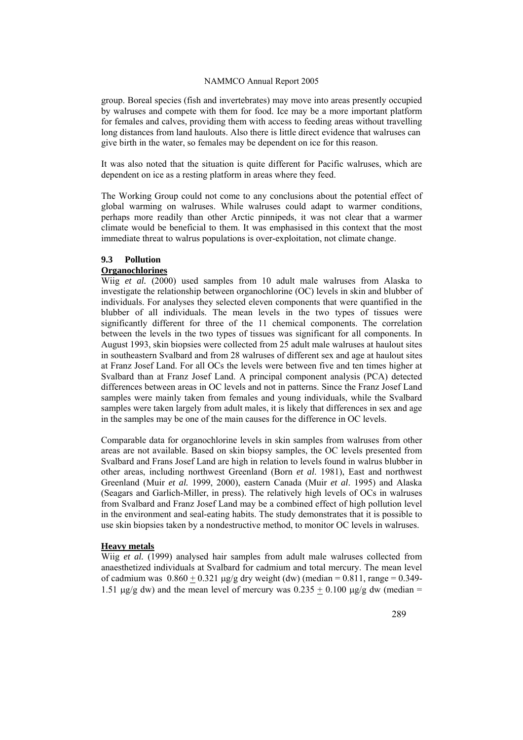group. Boreal species (fish and invertebrates) may move into areas presently occupied by walruses and compete with them for food. Ice may be a more important platform for females and calves, providing them with access to feeding areas without travelling long distances from land haulouts. Also there is little direct evidence that walruses can give birth in the water, so females may be dependent on ice for this reason.

It was also noted that the situation is quite different for Pacific walruses, which are dependent on ice as a resting platform in areas where they feed.

The Working Group could not come to any conclusions about the potential effect of global warming on walruses. While walruses could adapt to warmer conditions, perhaps more readily than other Arctic pinnipeds, it was not clear that a warmer climate would be beneficial to them. It was emphasised in this context that the most immediate threat to walrus populations is over-exploitation, not climate change.

# **9.3 Pollution**

# **Organochlorines**

Wiig *et al.* (2000) used samples from 10 adult male walruses from Alaska to investigate the relationship between organochlorine (OC) levels in skin and blubber of individuals. For analyses they selected eleven components that were quantified in the blubber of all individuals. The mean levels in the two types of tissues were significantly different for three of the 11 chemical components. The correlation between the levels in the two types of tissues was significant for all components. In August 1993, skin biopsies were collected from 25 adult male walruses at haulout sites in southeastern Svalbard and from 28 walruses of different sex and age at haulout sites at Franz Josef Land. For all OCs the levels were between five and ten times higher at Svalbard than at Franz Josef Land. A principal component analysis (PCA) detected differences between areas in OC levels and not in patterns. Since the Franz Josef Land samples were mainly taken from females and young individuals, while the Svalbard samples were taken largely from adult males, it is likely that differences in sex and age in the samples may be one of the main causes for the difference in OC levels.

Comparable data for organochlorine levels in skin samples from walruses from other areas are not available. Based on skin biopsy samples, the OC levels presented from Svalbard and Frans Josef Land are high in relation to levels found in walrus blubber in other areas, including northwest Greenland (Born *et al*. 1981), East and northwest Greenland (Muir *et al.* 1999, 2000), eastern Canada (Muir *et al*. 1995) and Alaska (Seagars and Garlich-Miller, in press). The relatively high levels of OCs in walruses from Svalbard and Franz Josef Land may be a combined effect of high pollution level in the environment and seal-eating habits. The study demonstrates that it is possible to use skin biopsies taken by a nondestructive method, to monitor OC levels in walruses.

### **Heavy metals**

Wiig *et al.* (1999) analysed hair samples from adult male walruses collected from anaesthetized individuals at Svalbard for cadmium and total mercury. The mean level of cadmium was  $0.860 + 0.321$  μg/g dry weight (dw) (median = 0.811, range = 0.349-1.51 μg/g dw) and the mean level of mercury was  $0.235 \pm 0.100$  μg/g dw (median =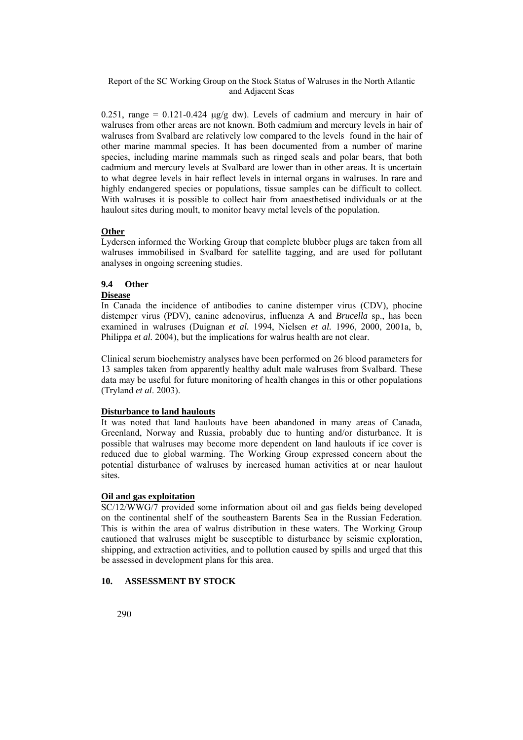0.251, range = 0.121-0.424  $\mu$ g/g dw). Levels of cadmium and mercury in hair of walruses from other areas are not known. Both cadmium and mercury levels in hair of walruses from Svalbard are relatively low compared to the levels found in the hair of other marine mammal species. It has been documented from a number of marine species, including marine mammals such as ringed seals and polar bears, that both cadmium and mercury levels at Svalbard are lower than in other areas. It is uncertain to what degree levels in hair reflect levels in internal organs in walruses. In rare and highly endangered species or populations, tissue samples can be difficult to collect. With walruses it is possible to collect hair from anaesthetised individuals or at the haulout sites during moult, to monitor heavy metal levels of the population.

## **Other**

Lydersen informed the Working Group that complete blubber plugs are taken from all walruses immobilised in Svalbard for satellite tagging, and are used for pollutant analyses in ongoing screening studies.

## **9.4 Other**

### **Disease**

In Canada the incidence of antibodies to canine distemper virus (CDV), phocine distemper virus (PDV), canine adenovirus, influenza A and *Brucella* sp., has been examined in walruses (Duignan *et al.* 1994, Nielsen *et al.* 1996, 2000, 2001a, b, Philippa *et al.* 2004), but the implications for walrus health are not clear.

Clinical serum biochemistry analyses have been performed on 26 blood parameters for 13 samples taken from apparently healthy adult male walruses from Svalbard. These data may be useful for future monitoring of health changes in this or other populations (Tryland *et al*. 2003).

### **Disturbance to land haulouts**

It was noted that land haulouts have been abandoned in many areas of Canada, Greenland, Norway and Russia, probably due to hunting and/or disturbance. It is possible that walruses may become more dependent on land haulouts if ice cover is reduced due to global warming. The Working Group expressed concern about the potential disturbance of walruses by increased human activities at or near haulout sites.

### **Oil and gas exploitation**

SC/12/WWG/7 provided some information about oil and gas fields being developed on the continental shelf of the southeastern Barents Sea in the Russian Federation. This is within the area of walrus distribution in these waters. The Working Group cautioned that walruses might be susceptible to disturbance by seismic exploration, shipping, and extraction activities, and to pollution caused by spills and urged that this be assessed in development plans for this area.

# **10. ASSESSMENT BY STOCK**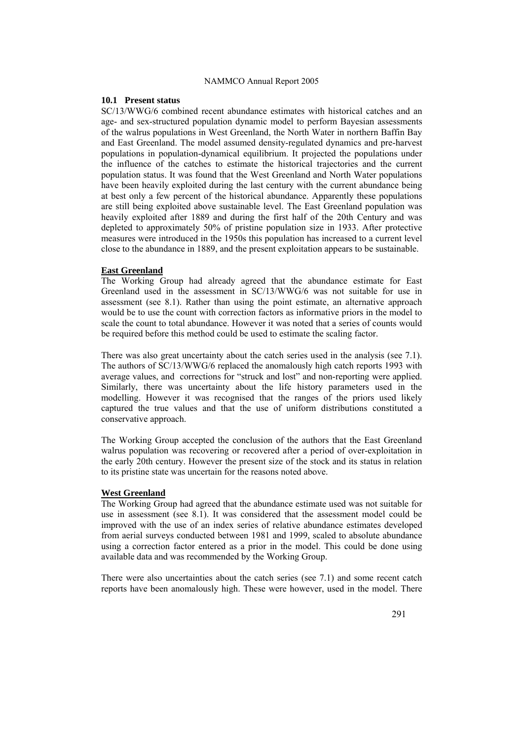#### **10.1 Present status**

SC/13/WWG/6 combined recent abundance estimates with historical catches and an age- and sex-structured population dynamic model to perform Bayesian assessments of the walrus populations in West Greenland, the North Water in northern Baffin Bay and East Greenland. The model assumed density-regulated dynamics and pre-harvest populations in population-dynamical equilibrium. It projected the populations under the influence of the catches to estimate the historical trajectories and the current population status. It was found that the West Greenland and North Water populations have been heavily exploited during the last century with the current abundance being at best only a few percent of the historical abundance. Apparently these populations are still being exploited above sustainable level. The East Greenland population was heavily exploited after 1889 and during the first half of the 20th Century and was depleted to approximately 50% of pristine population size in 1933. After protective measures were introduced in the 1950s this population has increased to a current level close to the abundance in 1889, and the present exploitation appears to be sustainable.

### **East Greenland**

The Working Group had already agreed that the abundance estimate for East Greenland used in the assessment in SC/13/WWG/6 was not suitable for use in assessment (see 8.1). Rather than using the point estimate, an alternative approach would be to use the count with correction factors as informative priors in the model to scale the count to total abundance. However it was noted that a series of counts would be required before this method could be used to estimate the scaling factor.

There was also great uncertainty about the catch series used in the analysis (see 7.1). The authors of SC/13/WWG/6 replaced the anomalously high catch reports 1993 with average values, and corrections for "struck and lost" and non-reporting were applied. Similarly, there was uncertainty about the life history parameters used in the modelling. However it was recognised that the ranges of the priors used likely captured the true values and that the use of uniform distributions constituted a conservative approach.

The Working Group accepted the conclusion of the authors that the East Greenland walrus population was recovering or recovered after a period of over-exploitation in the early 20th century. However the present size of the stock and its status in relation to its pristine state was uncertain for the reasons noted above.

#### **West Greenland**

The Working Group had agreed that the abundance estimate used was not suitable for use in assessment (see 8.1). It was considered that the assessment model could be improved with the use of an index series of relative abundance estimates developed from aerial surveys conducted between 1981 and 1999, scaled to absolute abundance using a correction factor entered as a prior in the model. This could be done using available data and was recommended by the Working Group.

There were also uncertainties about the catch series (see 7.1) and some recent catch reports have been anomalously high. These were however, used in the model. There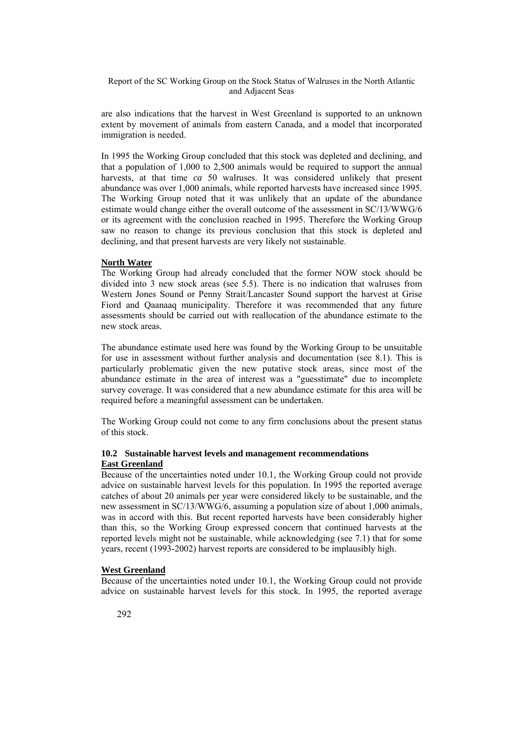are also indications that the harvest in West Greenland is supported to an unknown extent by movement of animals from eastern Canada, and a model that incorporated immigration is needed.

In 1995 the Working Group concluded that this stock was depleted and declining, and that a population of 1,000 to 2,500 animals would be required to support the annual harvests, at that time *ca* 50 walruses. It was considered unlikely that present abundance was over 1,000 animals, while reported harvests have increased since 1995. The Working Group noted that it was unlikely that an update of the abundance estimate would change either the overall outcome of the assessment in SC/13/WWG/6 or its agreement with the conclusion reached in 1995. Therefore the Working Group saw no reason to change its previous conclusion that this stock is depleted and declining, and that present harvests are very likely not sustainable.

### **North Water**

The Working Group had already concluded that the former NOW stock should be divided into 3 new stock areas (see 5.5). There is no indication that walruses from Western Jones Sound or Penny Strait/Lancaster Sound support the harvest at Grise Fiord and Qaanaaq municipality. Therefore it was recommended that any future assessments should be carried out with reallocation of the abundance estimate to the new stock areas.

The abundance estimate used here was found by the Working Group to be unsuitable for use in assessment without further analysis and documentation (see 8.1). This is particularly problematic given the new putative stock areas, since most of the abundance estimate in the area of interest was a "guesstimate" due to incomplete survey coverage. It was considered that a new abundance estimate for this area will be required before a meaningful assessment can be undertaken.

The Working Group could not come to any firm conclusions about the present status of this stock.

### **10.2 Sustainable harvest levels and management recommendations East Greenland**

Because of the uncertainties noted under 10.1, the Working Group could not provide advice on sustainable harvest levels for this population. In 1995 the reported average catches of about 20 animals per year were considered likely to be sustainable, and the new assessment in SC/13/WWG/6, assuming a population size of about 1,000 animals, was in accord with this. But recent reported harvests have been considerably higher than this, so the Working Group expressed concern that continued harvests at the reported levels might not be sustainable, while acknowledging (see 7.1) that for some years, recent (1993-2002) harvest reports are considered to be implausibly high.

#### **West Greenland**

Because of the uncertainties noted under 10.1, the Working Group could not provide advice on sustainable harvest levels for this stock. In 1995, the reported average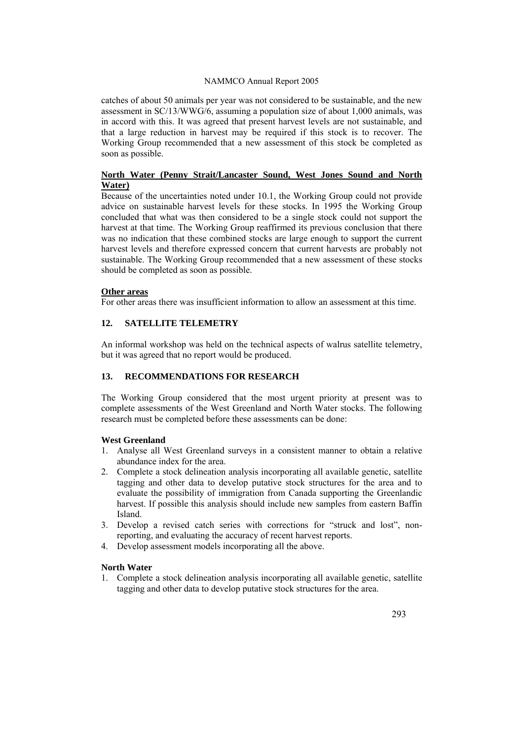catches of about 50 animals per year was not considered to be sustainable, and the new assessment in SC/13/WWG/6, assuming a population size of about 1,000 animals, was in accord with this. It was agreed that present harvest levels are not sustainable, and that a large reduction in harvest may be required if this stock is to recover. The Working Group recommended that a new assessment of this stock be completed as soon as possible.

### **North Water (Penny Strait/Lancaster Sound, West Jones Sound and North Water)**

Because of the uncertainties noted under 10.1, the Working Group could not provide advice on sustainable harvest levels for these stocks. In 1995 the Working Group concluded that what was then considered to be a single stock could not support the harvest at that time. The Working Group reaffirmed its previous conclusion that there was no indication that these combined stocks are large enough to support the current harvest levels and therefore expressed concern that current harvests are probably not sustainable. The Working Group recommended that a new assessment of these stocks should be completed as soon as possible.

### **Other areas**

For other areas there was insufficient information to allow an assessment at this time.

## **12. SATELLITE TELEMETRY**

An informal workshop was held on the technical aspects of walrus satellite telemetry, but it was agreed that no report would be produced.

## **13. RECOMMENDATIONS FOR RESEARCH**

The Working Group considered that the most urgent priority at present was to complete assessments of the West Greenland and North Water stocks. The following research must be completed before these assessments can be done:

## **West Greenland**

- 1. Analyse all West Greenland surveys in a consistent manner to obtain a relative abundance index for the area.
- 2. Complete a stock delineation analysis incorporating all available genetic, satellite tagging and other data to develop putative stock structures for the area and to evaluate the possibility of immigration from Canada supporting the Greenlandic harvest. If possible this analysis should include new samples from eastern Baffin Island.
- 3. Develop a revised catch series with corrections for "struck and lost", nonreporting, and evaluating the accuracy of recent harvest reports.
- 4. Develop assessment models incorporating all the above.

### **North Water**

1. Complete a stock delineation analysis incorporating all available genetic, satellite tagging and other data to develop putative stock structures for the area.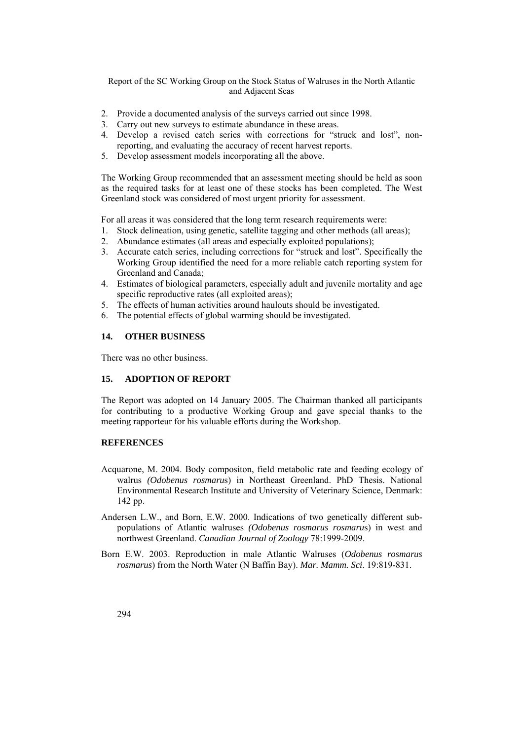- 2. Provide a documented analysis of the surveys carried out since 1998.
- 3. Carry out new surveys to estimate abundance in these areas.
- 4. Develop a revised catch series with corrections for "struck and lost", nonreporting, and evaluating the accuracy of recent harvest reports.
- 5. Develop assessment models incorporating all the above.

The Working Group recommended that an assessment meeting should be held as soon as the required tasks for at least one of these stocks has been completed. The West Greenland stock was considered of most urgent priority for assessment.

For all areas it was considered that the long term research requirements were:

- 1. Stock delineation, using genetic, satellite tagging and other methods (all areas);
- 2. Abundance estimates (all areas and especially exploited populations);
- 3. Accurate catch series, including corrections for "struck and lost". Specifically the Working Group identified the need for a more reliable catch reporting system for Greenland and Canada;
- 4. Estimates of biological parameters, especially adult and juvenile mortality and age specific reproductive rates (all exploited areas);
- 5. The effects of human activities around haulouts should be investigated.
- 6. The potential effects of global warming should be investigated.

## **14. OTHER BUSINESS**

There was no other business.

# **15. ADOPTION OF REPORT**

The Report was adopted on 14 January 2005. The Chairman thanked all participants for contributing to a productive Working Group and gave special thanks to the meeting rapporteur for his valuable efforts during the Workshop.

### **REFERENCES**

- Acquarone, M. 2004. Body compositon, field metabolic rate and feeding ecology of walrus *(Odobenus rosmaru*s) in Northeast Greenland. PhD Thesis. National Environmental Research Institute and University of Veterinary Science, Denmark: 142 pp.
- Andersen L.W., and Born, E.W. 2000. Indications of two genetically different subpopulations of Atlantic walruses *(Odobenus rosmarus rosmaru*s) in west and northwest Greenland. *Canadian Journal of Zoology* 78:1999-2009.
- Born E.W. 2003. Reproduction in male Atlantic Walruses (*Odobenus rosmarus rosmarus*) from the North Water (N Baffin Bay). *Mar. Mamm. Sci*. 19:819-831.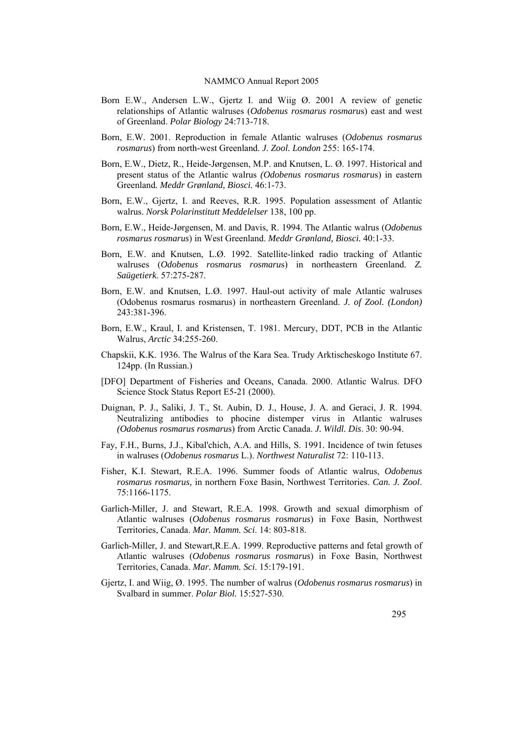- Born E.W., Andersen L.W., Gjertz I. and Wiig Ø. 2001 A review of genetic relationships of Atlantic walruses (*Odobenus rosmarus rosmaru*s) east and west of Greenland. *Polar Biology* 24:713-718.
- Born, E.W. 2001. Reproduction in female Atlantic walruses (*Odobenus rosmarus rosmarus*) from north-west Greenland. *J. Zool. London* 255: 165-174.
- Born, E.W., Dietz, R., Heide-Jørgensen, M.P. and Knutsen, L. Ø. 1997. Historical and present status of the Atlantic walrus *(Odobenus rosmarus rosmaru*s) in eastern Greenland*. Meddr Grønland, Biosci.* 46:1-73.
- Born, E.W., Gjertz, I. and Reeves, R.R. 1995. Population assessment of Atlantic walrus. *Norsk Polarinstitutt Meddelelser* 138, 100 pp.
- Born, E.W., Heide-Jørgensen, M. and Davis, R. 1994. The Atlantic walrus (*Odobenus rosmarus rosmarus*) in West Greenland. *Meddr Grønland, Biosci.* 40:1-33.
- Born, E.W. and Knutsen, L.Ø. 1992. Satellite-linked radio tracking of Atlantic walruses (*Odobenus rosmarus rosmaru*s) in northeastern Greenland. *Z. Saügetierk*. 57:275-287.
- Born, E.W. and Knutsen, L.Ø. 1997. Haul-out activity of male Atlantic walruses (Odobenus rosmarus rosmarus) in northeastern Greenland. *J. of Zool. (London)* 243:381-396.
- Born, E.W., Kraul, I. and Kristensen, T. 1981. Mercury, DDT, PCB in the Atlantic Walrus, *Arctic* 34:255-260.
- Chapskii, K.K. 1936. The Walrus of the Kara Sea. Trudy Arktischeskogo Institute 67. 124pp. (In Russian.)
- [DFO] Department of Fisheries and Oceans, Canada. 2000. Atlantic Walrus. DFO Science Stock Status Report E5-21 (2000).
- Duignan, P. J., Saliki, J. T., St. Aubin, D. J., House, J. A. and Geraci, J. R. 1994. Neutralizing antibodies to phocine distemper virus in Atlantic walruses *(Odobenus rosmarus rosmaru*s) from Arctic Canada. *J. Wildl. Dis*. 30: 90-94.
- Fay, F.H., Burns, J.J., Kibal'chich, A.A. and Hills, S. 1991. Incidence of twin fetuses in walruses (*Odobenus rosmarus* L.). *Northwest Naturalist* 72: 110-113.
- Fisher, K.I. Stewart, R.E.A. 1996. Summer foods of Atlantic walrus, *Odobenus rosmarus rosmarus,* in northern Foxe Basin, Northwest Territories. *Can. J. Zool*. 75:1166-1175.
- Garlich-Miller, J. and Stewart, R.E.A. 1998. Growth and sexual dimorphism of Atlantic walruses (*Odobenus rosmarus rosmarus*) in Foxe Basin, Northwest Territories, Canada. *Mar. Mamm. Sci*. 14: 803-818.
- Garlich-Miller, J. and Stewart,R.E.A. 1999. Reproductive patterns and fetal growth of Atlantic walruses (*Odobenus rosmarus rosmarus*) in Foxe Basin, Northwest Territories, Canada. *Mar. Mamm. Sci*. 15:179-191.
- Gjertz, I. and Wiig, Ø. 1995. The number of walrus (*Odobenus rosmarus rosmarus*) in Svalbard in summer. *Polar Biol.* 15:527-530.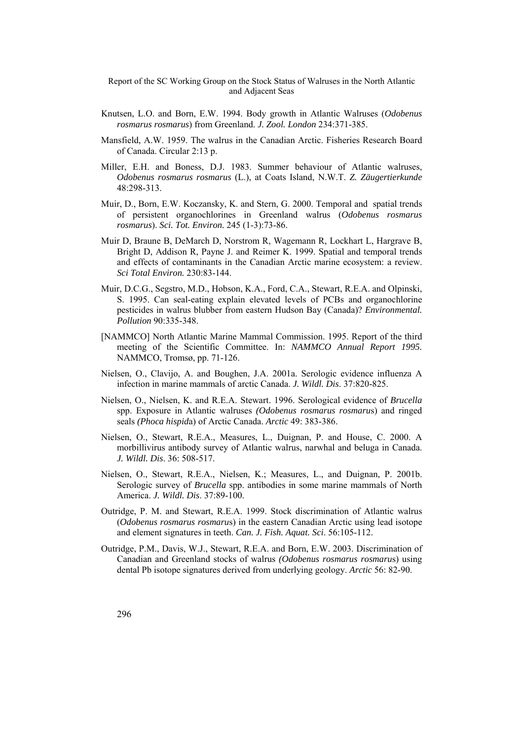- Knutsen, L.O. and Born, E.W. 1994. Body growth in Atlantic Walruses (*Odobenus rosmarus rosmarus*) from Greenland. *J. Zool. London* 234:371-385.
- Mansfield, A.W. 1959. The walrus in the Canadian Arctic. Fisheries Research Board of Canada. Circular 2:13 p.
- Miller, E.H. and Boness, D.J. 1983. Summer behaviour of Atlantic walruses, *Odobenus rosmarus rosmarus* (L.), at Coats Island, N.W.T. *Z. Zäugertierkunde* 48:298-313.
- Muir, D., Born, E.W. Koczansky, K. and Stern, G. 2000. Temporal and spatial trends of persistent organochlorines in Greenland walrus (*Odobenus rosmarus rosmarus*). *Sci. Tot. Environ.* 245 (1-3):73-86.
- Muir D, Braune B, DeMarch D, Norstrom R, Wagemann R, Lockhart L, Hargrave B, Bright D, Addison R, Payne J. and Reimer K. 1999. Spatial and temporal trends and effects of contaminants in the Canadian Arctic marine ecosystem: a review. *Sci Total Environ.* 230:83-144.
- Muir, D.C.G., Segstro, M.D., Hobson, K.A., Ford, C.A., Stewart, R.E.A. and Olpinski, S. 1995. Can seal-eating explain elevated levels of PCBs and organochlorine pesticides in walrus blubber from eastern Hudson Bay (Canada)? *Environmental. Pollution* 90:335-348.
- [NAMMCO] North Atlantic Marine Mammal Commission. 1995. Report of the third meeting of the Scientific Committee. In: *NAMMCO Annual Report 1995.*  NAMMCO, Tromsø, pp. 71-126.
- Nielsen, O., Clavijo, A. and Boughen, J.A. 2001a. Serologic evidence influenza A infection in marine mammals of arctic Canada. *J. Wildl. Dis*. 37:820-825.
- Nielsen, O., Nielsen, K. and R.E.A. Stewart. 1996. Serological evidence of *Brucella* spp. Exposure in Atlantic walruses *(Odobenus rosmarus rosmaru*s) and ringed seals *(Phoca hispid*a) of Arctic Canada. *Arctic* 49: 383-386.
- Nielsen, O., Stewart, R.E.A., Measures, L., Duignan, P. and House, C. 2000. A morbillivirus antibody survey of Atlantic walrus, narwhal and beluga in Canada. *J. Wildl. Dis*. 36: 508-517.
- Nielsen, O., Stewart, R.E.A., Nielsen, K.; Measures, L., and Duignan, P. 2001b. Serologic survey of *Brucella* spp. antibodies in some marine mammals of North America. *J. Wildl. Dis*. 37:89-100.
- Outridge, P. M. and Stewart, R.E.A. 1999. Stock discrimination of Atlantic walrus (*Odobenus rosmarus rosmaru*s) in the eastern Canadian Arctic using lead isotope and element signatures in teeth. *Can. J. Fish. Aquat. Sci*. 56:105-112.
- Outridge, P.M., Davis, W.J., Stewart, R.E.A. and Born, E.W. 2003. Discrimination of Canadian and Greenland stocks of walrus *(Odobenus rosmarus rosmaru*s) using dental Pb isotope signatures derived from underlying geology. *Arctic* 56: 82-90.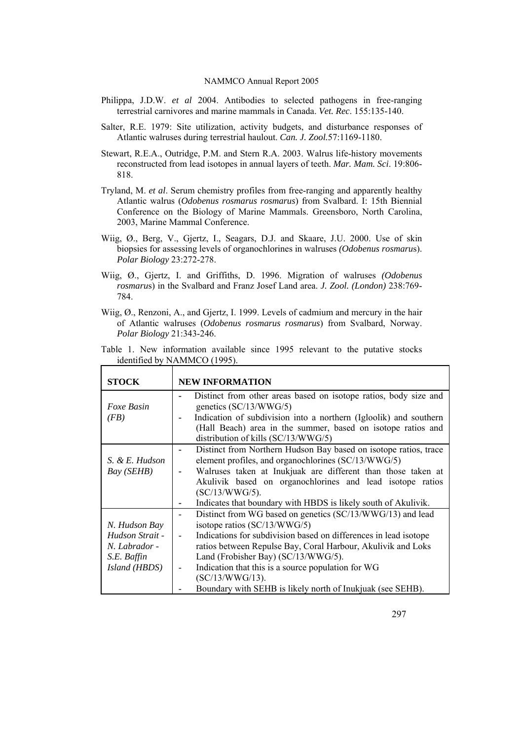- Philippa, J.D.W. *et al* 2004. Antibodies to selected pathogens in free-ranging terrestrial carnivores and marine mammals in Canada. *Vet. Rec*. 155:135-140.
- Salter, R.E. 1979: Site utilization, activity budgets, and disturbance responses of Atlantic walruses during terrestrial haulout. *Can. J. Zool.*57:1169-1180.
- Stewart, R.E.A., Outridge, P.M. and Stern R.A. 2003. Walrus life-history movements reconstructed from lead isotopes in annual layers of teeth. *Mar. Mam. Sci*. 19:806- 818.
- Tryland, M. *et al*. Serum chemistry profiles from free-ranging and apparently healthy Atlantic walrus (*Odobenus rosmarus rosmarus*) from Svalbard. I: 15th Biennial Conference on the Biology of Marine Mammals. Greensboro, North Carolina, 2003, Marine Mammal Conference.
- Wiig, Ø., Berg, V., Gjertz, I., Seagars, D.J. and Skaare, J.U. 2000. Use of skin biopsies for assessing levels of organochlorines in walruses *(Odobenus rosmaru*s). *Polar Biology* 23:272-278.
- Wiig, Ø., Gjertz, I. and Griffiths, D. 1996. Migration of walruses *(Odobenus rosmaru*s) in the Svalbard and Franz Josef Land area. *J. Zool. (London)* 238:769- 784.
- Wiig, Ø., Renzoni, A., and Gjertz, I. 1999. Levels of cadmium and mercury in the hair of Atlantic walruses (*Odobenus rosmarus rosmarus*) from Svalbard, Norway. *Polar Biology* 21:343-246.
- Table 1. New information available since 1995 relevant to the putative stocks identified by NAMMCO (1995).

| <b>STOCK</b>                                                                      | <b>NEW INFORMATION</b>                                                                                                                                                                                                                                                                                                                                                                                            |
|-----------------------------------------------------------------------------------|-------------------------------------------------------------------------------------------------------------------------------------------------------------------------------------------------------------------------------------------------------------------------------------------------------------------------------------------------------------------------------------------------------------------|
| Foxe Basin<br>(FB)                                                                | Distinct from other areas based on isotope ratios, body size and<br>genetics (SC/13/WWG/5)<br>Indication of subdivision into a northern (Igloolik) and southern<br>(Hall Beach) area in the summer, based on isotope ratios and<br>distribution of kills (SC/13/WWG/5)                                                                                                                                            |
| S. & E. Hudson<br>Bay (SEHB)                                                      | Distinct from Northern Hudson Bay based on isotope ratios, trace<br>element profiles, and organochlorines (SC/13/WWG/5)<br>Walruses taken at Inukjuak are different than those taken at<br>Akulivik based on organochlorines and lead isotope ratios<br>$(SC/13/WWG/5)$ .<br>Indicates that boundary with HBDS is likely south of Akulivik.                                                                       |
| N. Hudson Bay<br>Hudson Strait -<br>N. Labrador -<br>S.E. Baffin<br>Island (HBDS) | Distinct from WG based on genetics (SC/13/WWG/13) and lead<br>isotope ratios $(SC/13/WWG/5)$<br>Indications for subdivision based on differences in lead isotope<br>ratios between Repulse Bay, Coral Harbour, Akulivik and Loks<br>Land (Frobisher Bay) (SC/13/WWG/5).<br>Indication that this is a source population for WG<br>$(SC/13/WWG/13)$ .<br>Boundary with SEHB is likely north of Inukjuak (see SEHB). |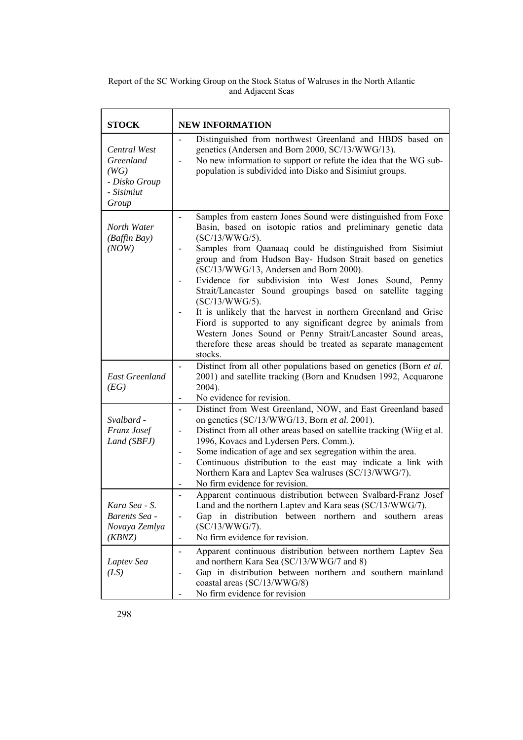| <b>STOCK</b>                                                              | <b>NEW INFORMATION</b>                                                                                                                                                                                                                                                                                                                                                                                                                                                                                                                                                                                                                                                                                                                                                |
|---------------------------------------------------------------------------|-----------------------------------------------------------------------------------------------------------------------------------------------------------------------------------------------------------------------------------------------------------------------------------------------------------------------------------------------------------------------------------------------------------------------------------------------------------------------------------------------------------------------------------------------------------------------------------------------------------------------------------------------------------------------------------------------------------------------------------------------------------------------|
| Central West<br>Greenland<br>(WG)<br>- Disko Group<br>- Sisimiut<br>Group | Distinguished from northwest Greenland and HBDS based on<br>genetics (Andersen and Born 2000, SC/13/WWG/13).<br>No new information to support or refute the idea that the WG sub-<br>population is subdivided into Disko and Sisimiut groups.                                                                                                                                                                                                                                                                                                                                                                                                                                                                                                                         |
| North Water<br>(Baffin Bay)<br>(NOW)                                      | Samples from eastern Jones Sound were distinguished from Foxe<br>$\blacksquare$<br>Basin, based on isotopic ratios and preliminary genetic data<br>$(SC/13/WWG/5)$ .<br>Samples from Qaanaaq could be distinguished from Sisimiut<br>group and from Hudson Bay- Hudson Strait based on genetics<br>(SC/13/WWG/13, Andersen and Born 2000).<br>Evidence for subdivision into West Jones Sound, Penny<br>Strait/Lancaster Sound groupings based on satellite tagging<br>$(SC/13/WWG/5)$ .<br>It is unlikely that the harvest in northern Greenland and Grise<br>Fiord is supported to any significant degree by animals from<br>Western Jones Sound or Penny Strait/Lancaster Sound areas,<br>therefore these areas should be treated as separate management<br>stocks. |
| <b>East Greenland</b><br>(EG)                                             | Distinct from all other populations based on genetics (Born et al.<br>2001) and satellite tracking (Born and Knudsen 1992, Acquarone<br>2004).<br>No evidence for revision.<br>$\overline{\phantom{a}}$                                                                                                                                                                                                                                                                                                                                                                                                                                                                                                                                                               |
| Svalbard -<br>Franz Josef<br>Land (SBFJ)                                  | Distinct from West Greenland, NOW, and East Greenland based<br>$\overline{a}$<br>on genetics (SC/13/WWG/13, Born et al. 2001).<br>Distinct from all other areas based on satellite tracking (Wiig et al.<br>1996, Kovacs and Lydersen Pers. Comm.).<br>Some indication of age and sex segregation within the area.<br>$\overline{a}$<br>Continuous distribution to the east may indicate a link with<br>Northern Kara and Laptev Sea walruses (SC/13/WWG/7).<br>No firm evidence for revision.                                                                                                                                                                                                                                                                        |
| Kara Sea - S.<br>Barents Sea -<br>Novaya Zemlya<br>(KBNZ)                 | Apparent continuous distribution between Svalbard-Franz Josef<br>Land and the northern Laptev and Kara seas $(SC/13/WWG/7)$ .<br>Gap in distribution between northern and southern areas<br>$(SC/13/WWG/7)$ .<br>No firm evidence for revision.<br>$\qquad \qquad \blacksquare$                                                                                                                                                                                                                                                                                                                                                                                                                                                                                       |
| Laptev Sea<br>(LS)                                                        | Apparent continuous distribution between northern Laptev Sea<br>$\qquad \qquad \blacksquare$<br>and northern Kara Sea (SC/13/WWG/7 and 8)<br>Gap in distribution between northern and southern mainland<br>coastal areas (SC/13/WWG/8)<br>No firm evidence for revision                                                                                                                                                                                                                                                                                                                                                                                                                                                                                               |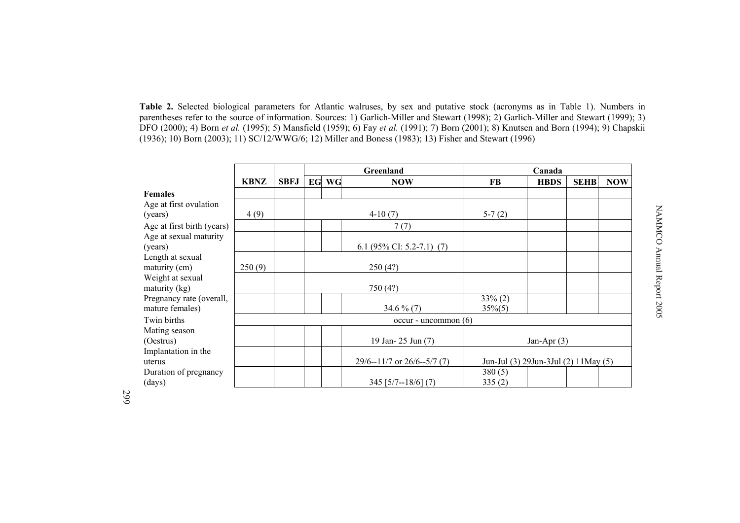**Table 2.** Selected biological parameters for Atlantic walruses, by sex and putative stock (acronyms as in Table 1). Numbers in parentheses refer to the source of information. Sources: 1) Garlich-Miller and Stewart (1998); 2) Garlich-Miller and Stewart (1999); 3) DFO (2000); 4) Born *et al.* (1995); 5) Mansfield (1959); 6) Fay *et al.* (1991); 7) Born (2001); 8) Knutsen and Born (1994); 9) Chapskii (1936); 10) Born (2003); 11) SC/12/WWG/6; 12) Miller and Boness (1983); 13) Fisher and Stewart (1996)

|                            |             |             | Greenland                                                                 |  |                           |             | Canada        |            |  |
|----------------------------|-------------|-------------|---------------------------------------------------------------------------|--|---------------------------|-------------|---------------|------------|--|
|                            | <b>KBNZ</b> | <b>SBFJ</b> | EG<br>WG<br><b>NOW</b>                                                    |  | FB                        | <b>HBDS</b> | <b>SEHB</b>   | <b>NOW</b> |  |
| <b>Females</b>             |             |             |                                                                           |  |                           |             |               |            |  |
| Age at first ovulation     |             |             |                                                                           |  |                           |             |               |            |  |
| (years)                    | 4(9)        |             |                                                                           |  | $4-10(7)$                 | $5-7(2)$    |               |            |  |
| Age at first birth (years) |             |             |                                                                           |  | 7(7)                      |             |               |            |  |
| Age at sexual maturity     |             |             |                                                                           |  |                           |             |               |            |  |
| (years)                    |             |             |                                                                           |  | 6.1 (95% CI: 5.2-7.1) (7) |             |               |            |  |
| Length at sexual           |             |             |                                                                           |  |                           |             |               |            |  |
| maturity (cm)              | 250(9)      |             |                                                                           |  | 250(4?)                   |             |               |            |  |
| Weight at sexual           |             |             |                                                                           |  |                           |             |               |            |  |
| maturity $(kg)$            |             |             |                                                                           |  | 750 (4?)                  |             |               |            |  |
| Pregnancy rate (overall,   |             |             |                                                                           |  |                           | $33\% (2)$  |               |            |  |
| mature females)            |             |             |                                                                           |  | 34.6 $\%$ (7)             | $35\%(5)$   |               |            |  |
| Twin births                |             |             |                                                                           |  | $occur$ - uncommon $(6)$  |             |               |            |  |
| Mating season              |             |             |                                                                           |  |                           |             |               |            |  |
| (Oestrus)                  |             |             |                                                                           |  | 19 Jan- 25 Jun (7)        |             | Jan-Apr $(3)$ |            |  |
| Implantation in the        |             |             |                                                                           |  |                           |             |               |            |  |
| uterus                     |             |             | $29/6 - 11/7$ or $26/6 - 5/7$ (7)<br>Jun-Jul (3) 29Jun-3Jul (2) 11May (5) |  |                           |             |               |            |  |
| Duration of pregnancy      |             |             |                                                                           |  |                           | 380(5)      |               |            |  |
| (days)                     |             |             | $345$ [5/7--18/6] (7)                                                     |  |                           | 335(2)      |               |            |  |

299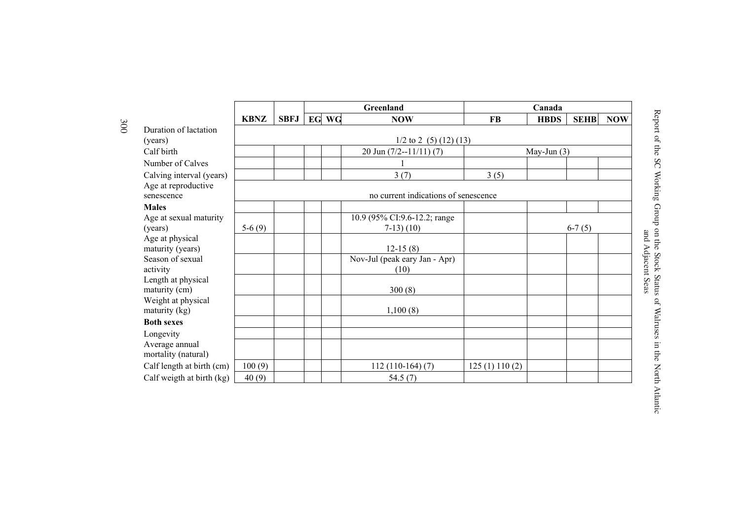|                                     |             |             |       | Greenland                            | Canada       |               |             |            |  |
|-------------------------------------|-------------|-------------|-------|--------------------------------------|--------------|---------------|-------------|------------|--|
|                                     | <b>KBNZ</b> | <b>SBFJ</b> | EG WG | <b>NOW</b>                           | <b>FB</b>    | <b>HBDS</b>   | <b>SEHB</b> | <b>NOW</b> |  |
| Duration of lactation               |             |             |       |                                      |              |               |             |            |  |
| (years)                             |             |             |       | $1/2$ to 2 (5) (12) (13)             |              |               |             |            |  |
| Calf birth                          |             |             |       | 20 Jun $(7/2 - 11/11)$ (7)           |              | May-Jun $(3)$ |             |            |  |
| Number of Calves                    |             |             |       |                                      |              |               |             |            |  |
| Calving interval (years)            |             |             |       | 3(7)                                 | 3(5)         |               |             |            |  |
| Age at reproductive                 |             |             |       |                                      |              |               |             |            |  |
| senescence                          |             |             |       | no current indications of senescence |              |               |             |            |  |
| <b>Males</b>                        |             |             |       |                                      |              |               |             |            |  |
| Age at sexual maturity              |             |             |       | 10.9 (95% CI:9.6-12.2; range         |              |               |             |            |  |
| (years)                             | $5-6(9)$    |             |       | $7-13)$ (10)                         |              |               | $6-7(5)$    |            |  |
| Age at physical<br>maturity (years) |             |             |       | $12-15(8)$                           |              |               |             |            |  |
| Season of sexual                    |             |             |       | Nov-Jul (peak eary Jan - Apr)        |              |               |             |            |  |
| activity                            |             |             |       | (10)                                 |              |               |             |            |  |
| Length at physical                  |             |             |       |                                      |              |               |             |            |  |
| maturity (cm)                       |             |             |       | 300(8)                               |              |               |             |            |  |
| Weight at physical                  |             |             |       |                                      |              |               |             |            |  |
| maturity (kg)                       |             |             |       | 1,100(8)                             |              |               |             |            |  |
| <b>Both sexes</b>                   |             |             |       |                                      |              |               |             |            |  |
| Longevity                           |             |             |       |                                      |              |               |             |            |  |
| Average annual                      |             |             |       |                                      |              |               |             |            |  |
| mortality (natural)                 |             |             |       |                                      |              |               |             |            |  |
| Calf length at birth (cm)           | 100(9)      |             |       | $112(110-164)(7)$                    | 125(1)110(2) |               |             |            |  |
| Calf weigth at birth (kg)           | 40(9)       |             |       | 54.5(7)                              |              |               |             |            |  |

Report of the SC Working Group on the Stock Status of Walruses in the North Atlantic Report of the SC Working Group on the Stock Status of Walruses in the North Atlantic Report of the SC Working Group on the Stock Status of Walruses in the North Atlantic and Adjacent Seas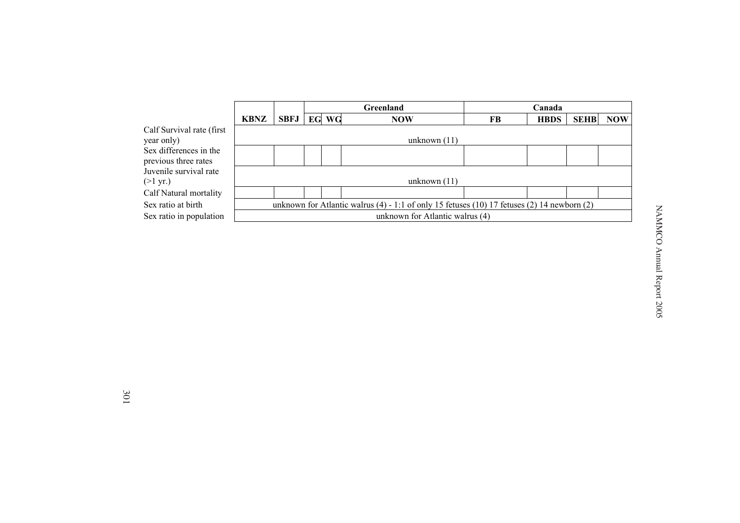|                                                |                                                                                             |             |    |    | <b>Greenland</b> | Canada |             |             |            |
|------------------------------------------------|---------------------------------------------------------------------------------------------|-------------|----|----|------------------|--------|-------------|-------------|------------|
|                                                | <b>KBNZ</b>                                                                                 | <b>SBFJ</b> | EG | WG | <b>NOW</b>       | FB     | <b>HBDS</b> | <b>SEHB</b> | <b>NOW</b> |
| Calf Survival rate (first<br>year only)        |                                                                                             |             |    |    | unknown $(11)$   |        |             |             |            |
| Sex differences in the<br>previous three rates |                                                                                             |             |    |    |                  |        |             |             |            |
| Juvenile survival rate<br>$(>1 \text{ yr.})$   | unknown $(11)$                                                                              |             |    |    |                  |        |             |             |            |
| Calf Natural mortality                         |                                                                                             |             |    |    |                  |        |             |             |            |
| Sex ratio at birth                             | unknown for Atlantic walrus (4) - 1:1 of only 15 fetuses (10) 17 fetuses (2) 14 newborn (2) |             |    |    |                  |        |             |             |            |
| Sex ratio in population                        | unknown for Atlantic walrus (4)                                                             |             |    |    |                  |        |             |             |            |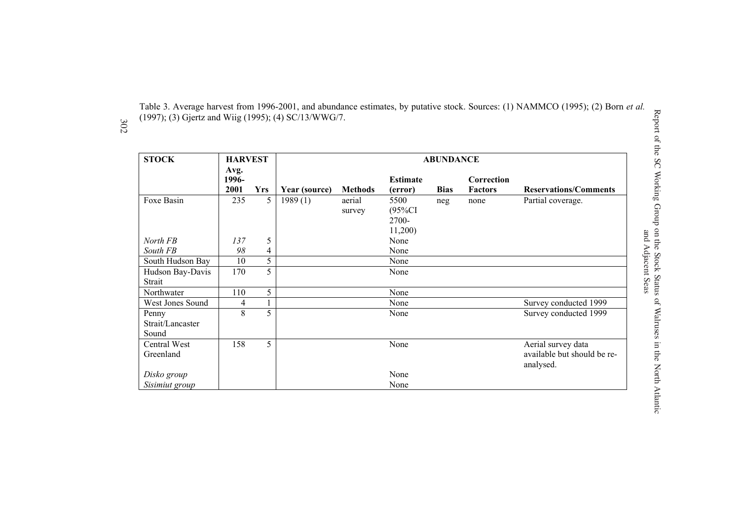Table 3. Average harvest from 1996-2001, and abundance estimates, by putative stock. Sources: (1) NAMMCO (1995); (2) Born *et al.* (1997); (3) Gjertz and Wiig (1995); (4) SC/13/WWG/7.

302

| <b>STOCK</b>                       | <b>HARVEST</b>        |            |               |                  |                                       | <b>ABUNDANCE</b> |                              |                                                                |
|------------------------------------|-----------------------|------------|---------------|------------------|---------------------------------------|------------------|------------------------------|----------------------------------------------------------------|
|                                    | Avg.<br>1996-<br>2001 | <b>Yrs</b> | Year (source) | <b>Methods</b>   | <b>Estimate</b><br>(error)            | <b>Bias</b>      | Correction<br><b>Factors</b> | <b>Reservations/Comments</b>                                   |
| Foxe Basin                         | 235                   | 5          | 1989(1)       | aerial<br>survey | 5500<br>$(95\%CI$<br>2700-<br>11,200) | neg              | none                         | Partial coverage.                                              |
| North FB                           | 137                   | 5          |               |                  | None                                  |                  |                              |                                                                |
| South FB                           | 98                    | 4          |               |                  | None                                  |                  |                              |                                                                |
| South Hudson Bay                   | 10                    | 5          |               |                  | None                                  |                  |                              |                                                                |
| Hudson Bay-Davis<br>Strait         | 170                   | 5          |               |                  | None                                  |                  |                              |                                                                |
| Northwater                         | 110                   | 5          |               |                  | None                                  |                  |                              |                                                                |
| West Jones Sound                   | 4                     | 1          |               |                  | None                                  |                  |                              | Survey conducted 1999                                          |
| Penny<br>Strait/Lancaster<br>Sound | 8                     | 5          |               |                  | None                                  |                  |                              | Survey conducted 1999                                          |
| Central West<br>Greenland          | 158                   | 5          |               |                  | None                                  |                  |                              | Aerial survey data<br>available but should be re-<br>analysed. |
| Disko group                        |                       |            |               |                  | None                                  |                  |                              |                                                                |
| Sisimiut group                     |                       |            |               |                  | None                                  |                  |                              |                                                                |

Report of the SC Working Group on the Stock Status of Walruses in the North Atlantic and Adjacent Seas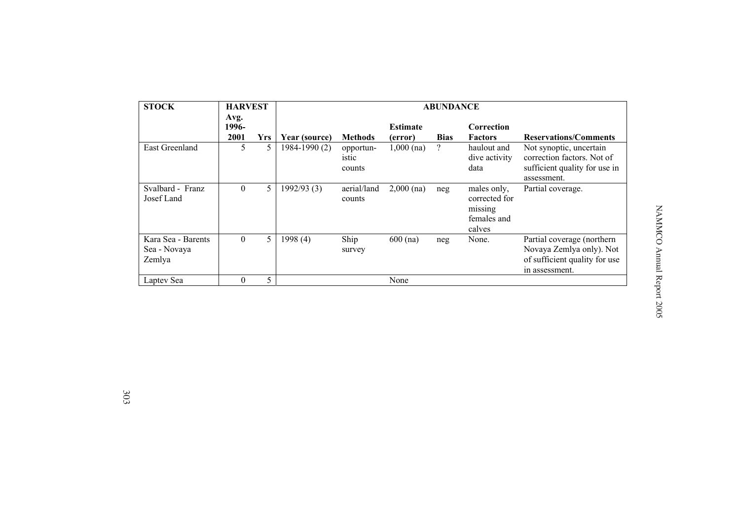| <b>STOCK</b>                                 | <b>HARVEST</b>        |            | <b>ABUNDANCE</b> |                              |                            |             |                                                                  |                                                                                                           |
|----------------------------------------------|-----------------------|------------|------------------|------------------------------|----------------------------|-------------|------------------------------------------------------------------|-----------------------------------------------------------------------------------------------------------|
|                                              | Avg.<br>1996-<br>2001 | <b>Yrs</b> | Year (source)    | <b>Methods</b>               | <b>Estimate</b><br>(error) | <b>Bias</b> | Correction<br><b>Factors</b>                                     | <b>Reservations/Comments</b>                                                                              |
| East Greenland                               | 5                     | 5.         | 1984-1990 (2)    | opportun-<br>istic<br>counts | $1,000$ (na)               | ?           | haulout and<br>dive activity<br>data                             | Not synoptic, uncertain<br>correction factors. Not of<br>sufficient quality for use in<br>assessment.     |
| Svalbard - Franz<br>Josef Land               | $\overline{0}$        | 5          | 1992/93(3)       | aerial/land<br>counts        | $2,000$ (na)               | neg         | males only,<br>corrected for<br>missing<br>females and<br>calves | Partial coverage.                                                                                         |
| Kara Sea - Barents<br>Sea - Novaya<br>Zemlya | $\overline{0}$        | 5          | 1998 (4)         | Ship<br>survey               | $600$ (na)                 | neg         | None.                                                            | Partial coverage (northern<br>Novaya Zemlya only). Not<br>of sufficient quality for use<br>in assessment. |
| Laptev Sea                                   | $\theta$              | 5          |                  |                              | None                       |             |                                                                  |                                                                                                           |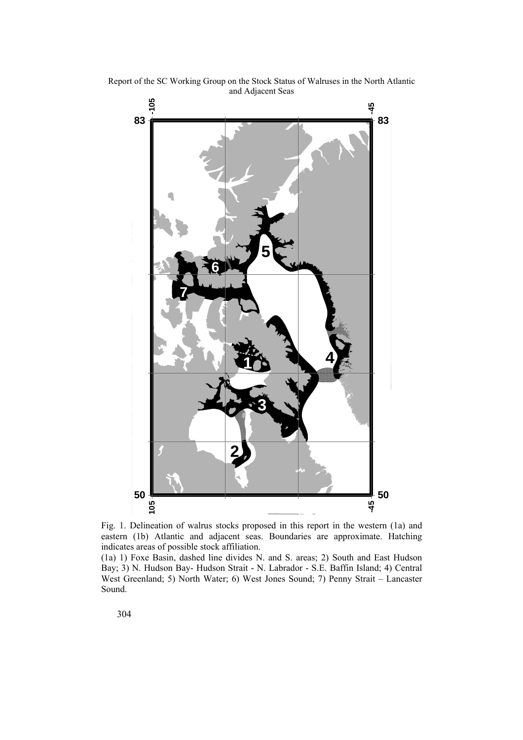

Report of the SC Working Group on the Stock Status of Walruses in the North Atlantic and Adjacent Seas

Fig. 1. Delineation of walrus stocks proposed in this report in the western (1a) and eastern (1b) Atlantic and adjacent seas. Boundaries are approximate. Hatching indicates areas of possible stock affiliation.

(1a) 1) Foxe Basin, dashed line divides N. and S. areas; 2) South and East Hudson Bay; 3) N. Hudson Bay- Hudson Strait - N. Labrador - S.E. Baffin Island; 4) Central West Greenland; 5) North Water; 6) West Jones Sound; 7) Penny Strait – Lancaster Sound.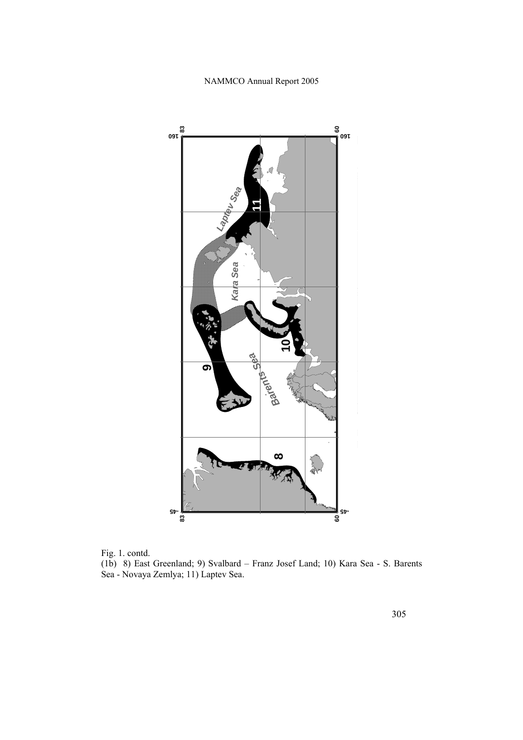

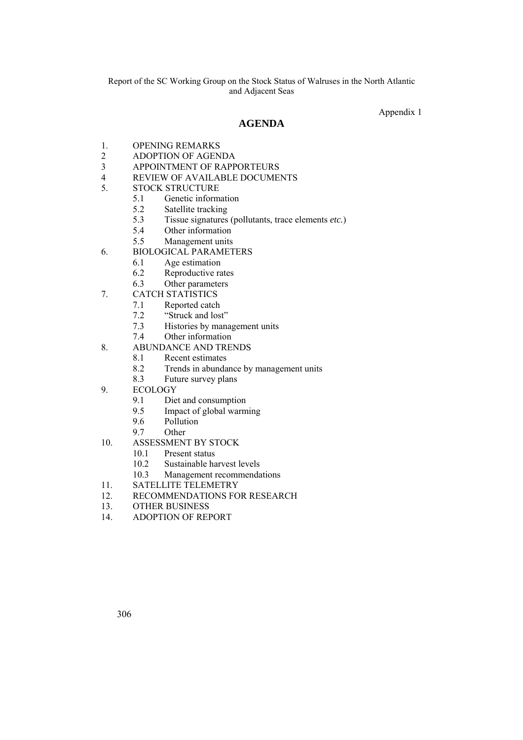Appendix 1

# **AGENDA**

- 1. OPENING REMARKS
- 2 ADOPTION OF AGENDA
- 3 APPOINTMENT OF RAPPORTEURS
- 4 REVIEW OF AVAILABLE DOCUMENTS
- 5. STOCK STRUCTURE
	- 5.1 Genetic information
	- 5.2 Satellite tracking<br>5.3 Tissue signatures
		- 5.3 Tissue signatures (pollutants, trace elements *etc.*)
		- 5.4 Other information
		- 5.5 Management units
- 6. BIOLOGICAL PARAMETERS
	- 6.1 Age estimation
	- 6.2 Reproductive rates
	- 6.3 Other parameters
- 7. CATCH STATISTICS
	- 7.1 Reported catch
	- 7.2 "Struck and lost"
	- 7.3 Histories by management units
	- 7.4 Other information
- 8. ABUNDANCE AND TRENDS
	- 8.1 Recent estimates
	- 8.2 Trends in abundance by management units
	- 8.3 Future survey plans
- 9. ECOLOGY
	- 9.1 Diet and consumption
	- 9.5 Impact of global warming<br>9.6 Pollution
	- Pollution
	- 9.7 Other
- 10. ASSESSMENT BY STOCK
	- 10.1 Present status
	- 10.2 Sustainable harvest levels
	- 10.3 Management recommendations
- 11. SATELLITE TELEMETRY
- 12. RECOMMENDATIONS FOR RESEARCH
- 13. OTHER BUSINESS<br>14 ADOPTION OF REE
- 14. ADOPTION OF REPORT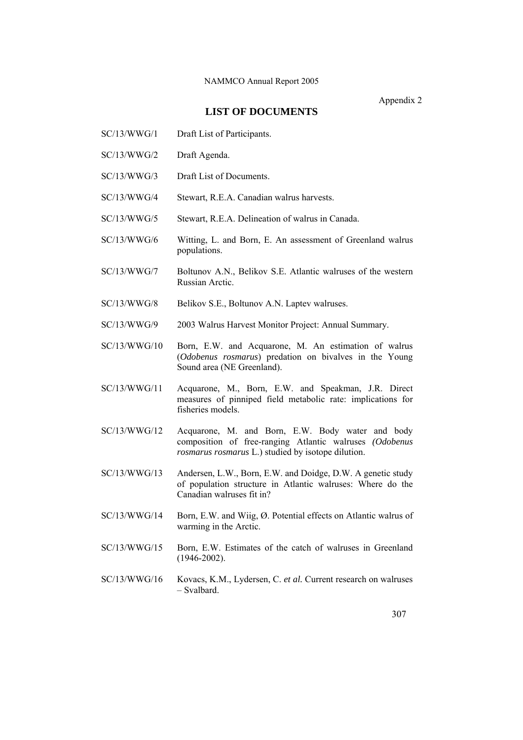Appendix 2

# **LIST OF DOCUMENTS**

- SC/13/WWG/1 Draft List of Participants.
- SC/13/WWG/2 Draft Agenda.
- SC/13/WWG/3 Draft List of Documents.
- SC/13/WWG/4 Stewart, R.E.A. Canadian walrus harvests.
- SC/13/WWG/5 Stewart, R.E.A. Delineation of walrus in Canada.
- SC/13/WWG/6 Witting, L. and Born, E. An assessment of Greenland walrus populations.
- SC/13/WWG/7 Boltunov A.N., Belikov S.E. Atlantic walruses of the western Russian Arctic.
- SC/13/WWG/8 Belikov S.E., Boltunov A.N. Laptev walruses.
- SC/13/WWG/9 2003 Walrus Harvest Monitor Project: Annual Summary.
- SC/13/WWG/10 Born, E.W. and Acquarone, M. An estimation of walrus (*Odobenus rosmarus*) predation on bivalves in the Young Sound area (NE Greenland).
- SC/13/WWG/11 Acquarone, M., Born, E.W. and Speakman, J.R. Direct measures of pinniped field metabolic rate: implications for fisheries models.
- SC/13/WWG/12 Acquarone, M. and Born, E.W. Body water and body composition of free-ranging Atlantic walruses *(Odobenus rosmarus rosmarus* L.) studied by isotope dilution.
- SC/13/WWG/13 Andersen, L.W., Born, E.W. and Doidge, D.W. A genetic study of population structure in Atlantic walruses: Where do the Canadian walruses fit in?
- SC/13/WWG/14 Born, E.W. and Wiig, Ø. Potential effects on Atlantic walrus of warming in the Arctic.
- SC/13/WWG/15 Born, E.W. Estimates of the catch of walruses in Greenland (1946-2002).
- SC/13/WWG/16 Kovacs, K.M., Lydersen, C. *et al.* Current research on walruses – Svalbard.